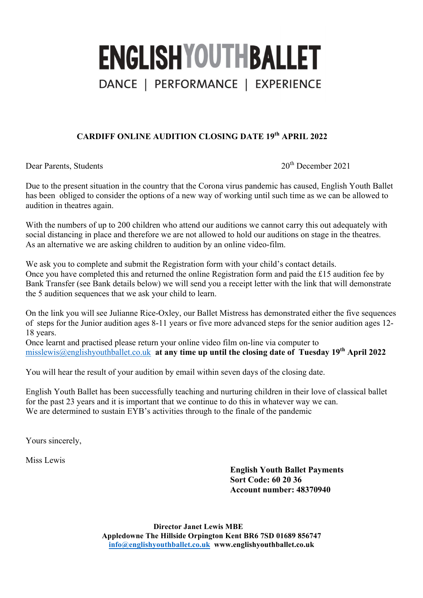# **ENGLISHYOUTHBALLET** DANCE | PERFORMANCE | EXPERIENCE

### **CARDIFF ONLINE AUDITION CLOSING DATE 19th APRIL 2022**

Dear Parents, Students 2021

Due to the present situation in the country that the Corona virus pandemic has caused, English Youth Ballet has been obliged to consider the options of a new way of working until such time as we can be allowed to audition in theatres again.

With the numbers of up to 200 children who attend our auditions we cannot carry this out adequately with social distancing in place and therefore we are not allowed to hold our auditions on stage in the theatres. As an alternative we are asking children to audition by an online video-film.

We ask you to complete and submit the Registration form with your child's contact details. Once you have completed this and returned the online Registration form and paid the £15 audition fee by Bank Transfer (see Bank details below) we will send you a receipt letter with the link that will demonstrate the 5 audition sequences that we ask your child to learn.

On the link you will see Julianne Rice-Oxley, our Ballet Mistress has demonstrated either the five sequences of steps for the Junior audition ages 8-11 years or five more advanced steps for the senior audition ages 12- 18 years.

Once learnt and practised please return your online video film on-line via computer to misslewis@englishyouthballet.co.uk **at any time up until the closing date of Tuesday 19th April 2022**

You will hear the result of your audition by email within seven days of the closing date.

English Youth Ballet has been successfully teaching and nurturing children in their love of classical ballet for the past 23 years and it is important that we continue to do this in whatever way we can. We are determined to sustain EYB's activities through to the finale of the pandemic

Yours sincerely,

Miss Lewis

**English Youth Ballet Payments Sort Code: 60 20 36 Account number: 48370940**

**Director Janet Lewis MBE Appledowne The Hillside Orpington Kent BR6 7SD 01689 856747 info@englishyouthballet.co.uk www.englishyouthballet.co.uk**